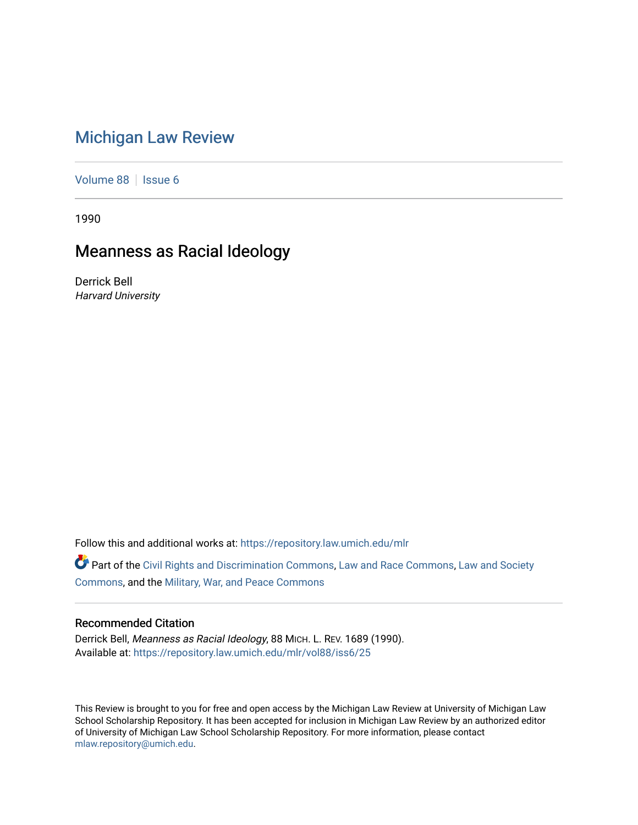## [Michigan Law Review](https://repository.law.umich.edu/mlr)

[Volume 88](https://repository.law.umich.edu/mlr/vol88) | [Issue 6](https://repository.law.umich.edu/mlr/vol88/iss6)

1990

## Meanness as Racial Ideology

Derrick Bell Harvard University

Follow this and additional works at: [https://repository.law.umich.edu/mlr](https://repository.law.umich.edu/mlr?utm_source=repository.law.umich.edu%2Fmlr%2Fvol88%2Fiss6%2F25&utm_medium=PDF&utm_campaign=PDFCoverPages) 

Part of the [Civil Rights and Discrimination Commons,](http://network.bepress.com/hgg/discipline/585?utm_source=repository.law.umich.edu%2Fmlr%2Fvol88%2Fiss6%2F25&utm_medium=PDF&utm_campaign=PDFCoverPages) [Law and Race Commons,](http://network.bepress.com/hgg/discipline/1300?utm_source=repository.law.umich.edu%2Fmlr%2Fvol88%2Fiss6%2F25&utm_medium=PDF&utm_campaign=PDFCoverPages) [Law and Society](http://network.bepress.com/hgg/discipline/853?utm_source=repository.law.umich.edu%2Fmlr%2Fvol88%2Fiss6%2F25&utm_medium=PDF&utm_campaign=PDFCoverPages)  [Commons](http://network.bepress.com/hgg/discipline/853?utm_source=repository.law.umich.edu%2Fmlr%2Fvol88%2Fiss6%2F25&utm_medium=PDF&utm_campaign=PDFCoverPages), and the [Military, War, and Peace Commons](http://network.bepress.com/hgg/discipline/861?utm_source=repository.law.umich.edu%2Fmlr%2Fvol88%2Fiss6%2F25&utm_medium=PDF&utm_campaign=PDFCoverPages) 

## Recommended Citation

Derrick Bell, Meanness as Racial Ideology, 88 MICH. L. REV. 1689 (1990). Available at: [https://repository.law.umich.edu/mlr/vol88/iss6/25](https://repository.law.umich.edu/mlr/vol88/iss6/25?utm_source=repository.law.umich.edu%2Fmlr%2Fvol88%2Fiss6%2F25&utm_medium=PDF&utm_campaign=PDFCoverPages) 

This Review is brought to you for free and open access by the Michigan Law Review at University of Michigan Law School Scholarship Repository. It has been accepted for inclusion in Michigan Law Review by an authorized editor of University of Michigan Law School Scholarship Repository. For more information, please contact [mlaw.repository@umich.edu.](mailto:mlaw.repository@umich.edu)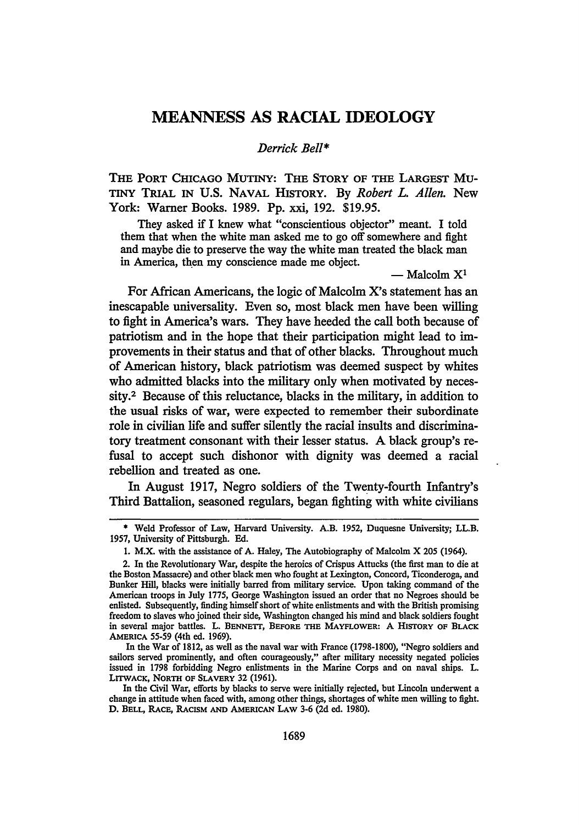## **MEANNESS AS RACIAL IDEOLOGY**

*Derrick Bell\** 

THE PORT CHICAGO MUTINY: THE STORY OF THE LARGEST MU-TINY TRIAL IN U.S. NAVAL HISTORY. By *Robert L. Allen.* New York: Warner Books. 1989. Pp. xxi, 192. \$19.95.

They asked if I knew what "conscientious objector" meant. I told them that when the white man asked me to go off somewhere and fight and maybe die to preserve the way the white man treated the black man in America, then my conscience made me object.

 $-$  Malcolm  $X<sup>1</sup>$ 

For African Americans, the logic of Malcolm X's statement has an inescapable universality. Even so, most black men have been willing to fight in America's wars. They have heeded the call both because of patriotism and in the hope that their participation might lead to improvements in their status and that of other blacks. Throughout much of American history, black patriotism was deemed suspect by whites who admitted blacks into the military only when motivated by necessity.2 Because of this reluctance, blacks in the military, in addition to the usual risks of war, were expected to remember their subordinate role in civilian life and suffer silently the racial insults and discriminatory treatment consonant with their lesser status. A black group's refusal to accept such dishonor with dignity was deemed a racial rebellion and treated as one.

In August 1917, Negro soldiers of the Twenty-fourth Infantry's Third Battalion, seasoned regulars, began fighting with white civilians

<sup>•</sup> Weld Professor of Law, Harvard University. A.B. 1952, Duquesne University; LL.B. 1957, University of Pittsburgh. Ed.

<sup>1.</sup> M.X. with the assistance of A. Haley, The Autobiography of Malcolm X 205 (1964).

<sup>2.</sup> In the Revolutionary War, despite the heroics of Crispus Attucks (the first man to die at the Boston Massacre) and other black men who fought at Lexington, Concord, Ticonderoga, and Bunker Hill, blacks were initially barred from military service. Upon taking command of the American troops in July 1775, George Washington issued an order that no Negroes should be enlisted. Subsequently, finding himself short of white enlistments and with the British promising freedom to slaves who joined their side, Washington changed his mind and black soldiers fought in several major battles. L. BENNETI, BEFORE THE MAYFLOWER: A HISTORY OF BLACK AMERICA 55-59 (4th ed. 1969).

In the War of 1812, as well as the naval war with France (1798-1800), "Negro soldiers and sailors served prominently, and often courageously," after military necessity negated policies issued in 1798 forbidding Negro enlistments in the Marine Corps and on naval ships. L. LITWACK, NORTH OF SLAVERY 32 (1961).

In the Civil War, efforts by blacks to serve were initially rejected, but Lincoln underwent a change in attitude when faced with, among other things, shortages of white men willing to fight. D. BELL, RACE, RACISM AND AMERICAN LAW 3-6 (2d ed. 1980).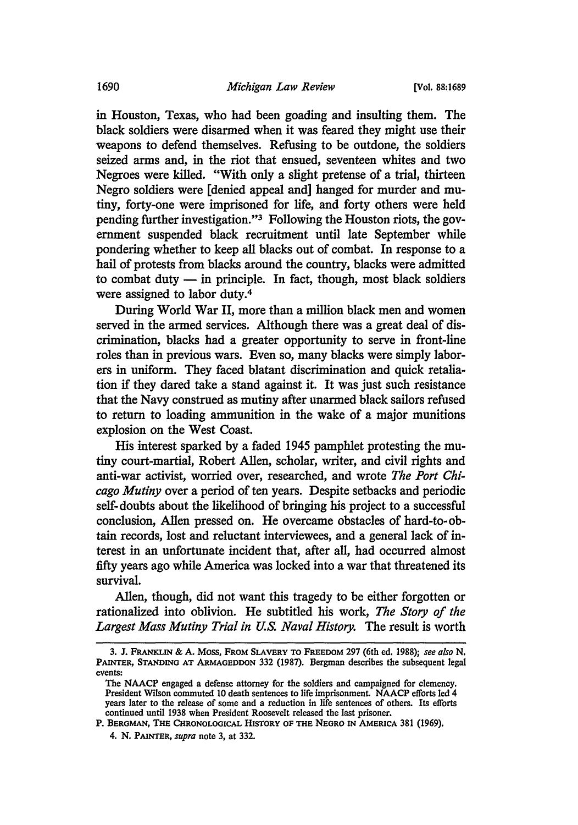in Houston, Texas, who had been goading and insulting them. The black soldiers were disarmed when it was feared they might use their weapons to defend themselves. Refusing to be outdone, the soldiers seized arms and, in the riot that ensued, seventeen whites and two Negroes were killed. "With only a slight pretense of a trial, thirteen Negro soldiers were [denied appeal and] hanged for murder and mutiny, forty-one were imprisoned for life, and forty others were held pending further investigation."3 Following the Houston riots, the government suspended black recruitment until late September while pondering whether to keep all blacks out of combat. In response to a hail of protests from blacks around the country, blacks were admitted to combat duty  $-$  in principle. In fact, though, most black soldiers were assigned to labor duty.4

During World War II, more than a million black men and women served in the armed services. Although there was a great deal of discrimination, blacks had a greater opportunity to serve in front-line roles than in previous wars. Even so, many blacks were simply laborers in uniform. They faced blatant discrimination and quick retaliation if they dared take a stand against it. It was just such resistance that the Navy construed as mutiny after unarmed black sailors refused to return to loading ammunition in the wake of a major munitions explosion on the West Coast.

His interest sparked by a faded 1945 pamphlet protesting the mutiny court-martial, Robert Allen, scholar, writer, and civil rights and anti-war activist, worried over, researched, and wrote *The Port Chicago Mutiny* over a period of ten years. Despite setbacks and periodic self-doubts about the likelihood of bringing his project to a successful conclusion, Allen pressed on. He overcame obstacles of hard-to-obtain records, lost and reluctant interviewees, and a general lack of interest in an unfortunate incident that, after all, had occurred almost fifty years ago while America was locked into a war that threatened its survival.

Allen, though, did not want this tragedy to be either forgotten or rationalized into oblivion. He subtitled his work, *The Story of the Largest Mass Mutiny Trial in* U.S. *Naval History.* The result is worth

<sup>3.</sup> J. FRANKLIN & A. Moss, FROM SLAVERY TO FREEDOM 297 (6th ed. 1988); *see also* N. PAINTER, STANDING AT ARMAGEDDON 332 (1987). Bergman describes the subsequent legal events:

The NAACP engaged a defense attorney for the soldiers and campaigned for clemency. President Wilson commuted 10 death sentences to life imprisonment. NAACP efforts led 4 years later to the release of some and a reduction in life sentences of others. Its efforts continued until 1938 when President Roosevelt released the last prisoner.

P. BERGMAN, THE CHRONOLOGICAL HISTORY OF THE NEGRO IN AMERICA 381 (1969). 4. N. PAINTER, *supra* note 3, at 332.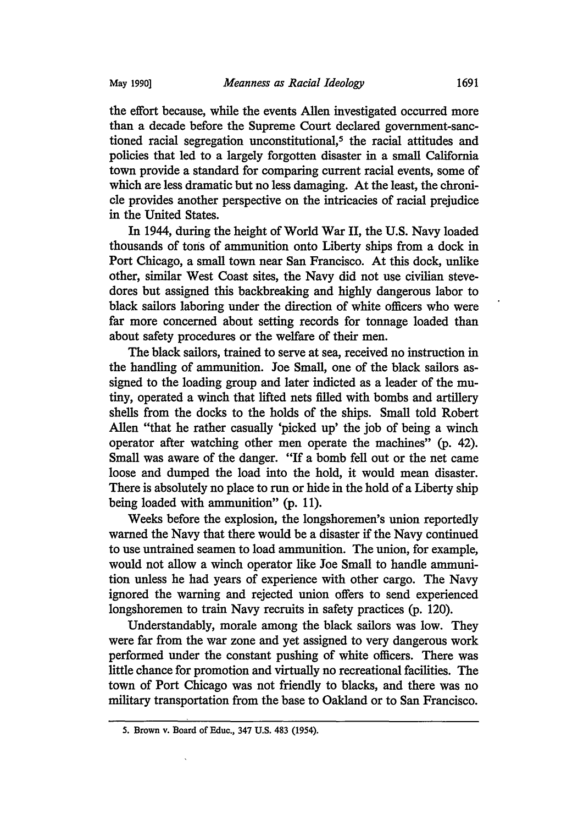the effort because, while the events Allen investigated occurred more than a decade before the Supreme Court declared government-sanctioned racial segregation unconstitutional,<sup>5</sup> the racial attitudes and policies that led to a largely forgotten disaster in a small California town provide a standard for comparing current racial events, some of which are less dramatic but no less damaging. At the least, the chronicle provides another perspective on the intricacies of racial prejudice in the United States.

In 1944, during the height of World War II, the U.S. Navy loaded thousands of tons of ammunition onto Liberty ships from a dock in Port Chicago, a small town near San Francisco. At this dock, unlike other, similar West Coast sites, the Navy did not use civilian stevedores but assigned this backbreaking and highly dangerous labor to black sailors laboring under the direction of white officers who were far more concerned about setting records for tonnage loaded than about safety procedures or the welfare of their men.

The black sailors, trained to serve at sea, received no instruction in the handling of ammunition. Joe Small, one of the black sailors assigned to the loading group and later indicted as a leader of the mutiny, operated a winch that lifted nets filled with bombs and artillery shells from the docks to the holds of the ships. Small told Robert Allen "that he rather casually 'picked up' the job of being a winch operator after watching other men operate the machines" (p. 42). Small was aware of the danger. "If a bomb fell out or the net came loose and dumped the load into the hold, it would mean disaster. There is absolutely no place to run or hide in the hold of a Liberty ship being loaded with ammunition" (p. 11).

Weeks before the explosion, the longshoremen's union reportedly warned the Navy that there would be a disaster if the Navy continued to use untrained seamen to load ammunition. The union, for example, would not allow a winch operator like Joe Small to handle ammunition unless he had years of experience with other cargo. The Navy ignored the warning and rejected union offers to send experienced longshoremen to train Navy recruits in safety practices (p. 120).

Understandably, morale among the black sailors was low. They were far from the war zone and yet assigned to very dangerous work performed under the constant pushing of white officers. There was little chance for promotion and virtually no recreational facilities. The town of Port Chicago was not friendly to blacks, and there was no military transportation from the base to Oakland or to San Francisco.

*<sup>5.</sup>* Brown v. Board of Educ., 347 U.S. 483 (1954).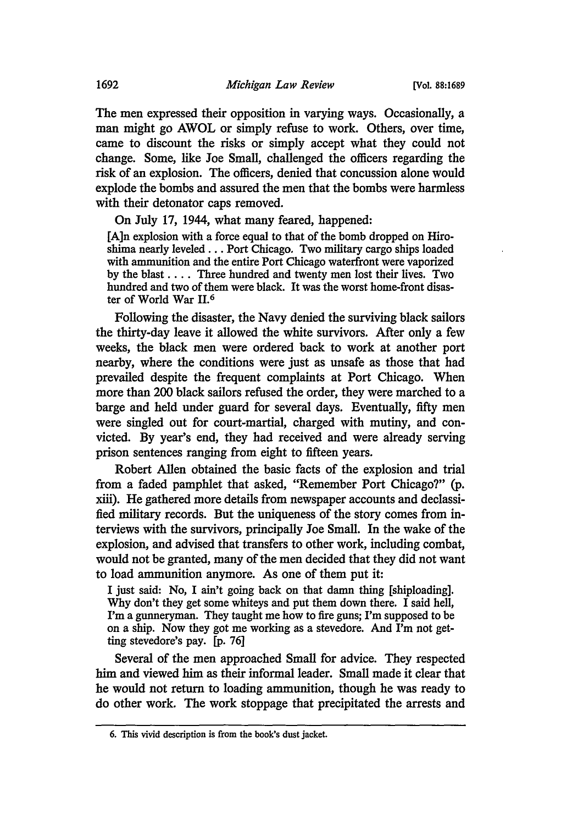The men expressed their opposition in varying ways. Occasionally, a man might go AWOL or simply refuse to work. Others, over time, came to discount the risks or simply accept what they could not change. Some, like Joe Small, challenged the officers regarding the risk of an explosion. The officers, denied that concussion alone would explode the bombs and assured the men that the bombs were harmless with their detonator caps removed.

On July 17, 1944, what many feared, happened:

[A]n explosion with a force equal to that of the bomb dropped on Hiroshima nearly leveled ... Port Chicago. Two military cargo ships loaded with ammunition and the entire Port Chicago waterfront were vaporized by the blast . . . . Three hundred and twenty men lost their lives. Two hundred and two of them were black. It was the worst home-front disaster of World War II.<sup>6</sup>

Following the disaster, the Navy denied the surviving black sailors the thirty-day leave it allowed the white survivors. After only a few weeks, the black men were ordered back to work at another port nearby, where the conditions were just as unsafe as those that had prevailed despite the frequent complaints at Port Chicago. When more than 200 black sailors refused the order, they were marched to a barge and held under guard for several days. Eventually, fifty men were singled out for court-martial, charged with mutiny, and convicted. By year's end, they had received and were already serving prison sentences ranging from eight to fifteen years.

Robert Allen obtained the basic facts of the explosion and trial from a faded pamphlet that asked, "Remember Port Chicago?" (p. xiii). He gathered more details from newspaper accounts and declassified military records. But the uniqueness of the story comes from interviews with the survivors, principally Joe Small. In the wake of the explosion, and advised that transfers to other work, including combat, would not be granted, many of the men decided that they did not want to load ammunition anymore. As one of them put it:

I just said: No, I ain't going back on that damn thing [shiploading]. Why don't they get some whiteys and put them down there. I said hell, I'm a gunneryman. They taught me how to fire guns; I'm supposed to be on a ship. Now they got me working as a stevedore. And I'm not getting stevedore's pay. [p. 76]

Several of the men approached Small for advice. They respected him and viewed him as their informal leader. Small made it clear that he would not return to loading ammunition, though he was ready to do other work. The work stoppage that precipitated the arrests and

<sup>6.</sup> This vivid description is from the book's dust jacket.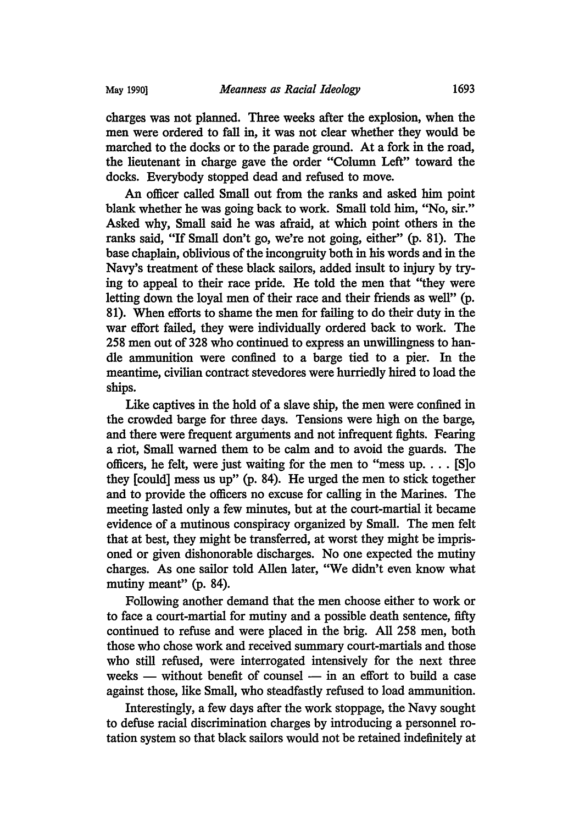charges was not planned. Three weeks after the explosion, when the men were ordered to fall in, it was not clear whether they would be marched to the docks or to the parade ground. At a fork in the road, the lieutenant in charge gave the order "Column Left" toward the docks. Everybody stopped dead and refused to move.

An officer called Small out from the ranks and asked him point blank whether he was going back to work. Small told him, "No, sir." Asked why, Small said he was afraid, at which point others in the ranks said, "If Small don't go, we're not going, either'' (p. 81). The base chaplain, oblivious of the incongruity both in his words and in the Navy's treatment of these black sailors, added insult to injury by trying to appeal to their race pride. He told the men that "they were letting down the loyal men of their race and their friends as well" (p. 81). When efforts to shame the men for failing to do their duty in the war effort failed, they were individually ordered back to work. The 258 men out of 328 who continued to express an unwillingness to handle ammunition were confined to a barge tied to a pier. In the meantime, civilian contract stevedores were hurriedly hired to load the ships.

Like captives in the hold of a slave ship, the men were confined in the crowded barge for three days. Tensions were high on the barge, and there were frequent arguinents and not infrequent fights. Fearing a riot, Small warned them to be calm and to avoid the guards. The officers, he felt, were just waiting for the men to "mess up. . . . [S]o they [could] mess us up" (p. 84). He urged the men to stick together and to provide the officers no excuse for calling in the Marines. The meeting lasted only a few minutes, but at the court-martial it became evidence of a mutinous conspiracy organized by Small. The men felt that at best, they might be transferred, at worst they might be imprisoned or given dishonorable discharges. No one expected the mutiny charges. As one sailor told Allen later, "We didn't even know what mutiny meant" (p. 84).

Following another demand that the men choose either to work or to face a court-martial for mutiny and a possible death sentence, fifty continued to refuse and were placed in the brig. All 258 men, both those who chose work and received summary court-martials and those who still refused, were interrogated intensively for the next three weeks  $-$  without benefit of counsel  $-$  in an effort to build a case against those, like Small, who steadfastly refused to load ammunition.

Interestingly, a few days after the work stoppage, the Navy sought to defuse racial discrimination charges by introducing a personnel rotation system so that black sailors would not be retained indefinitely at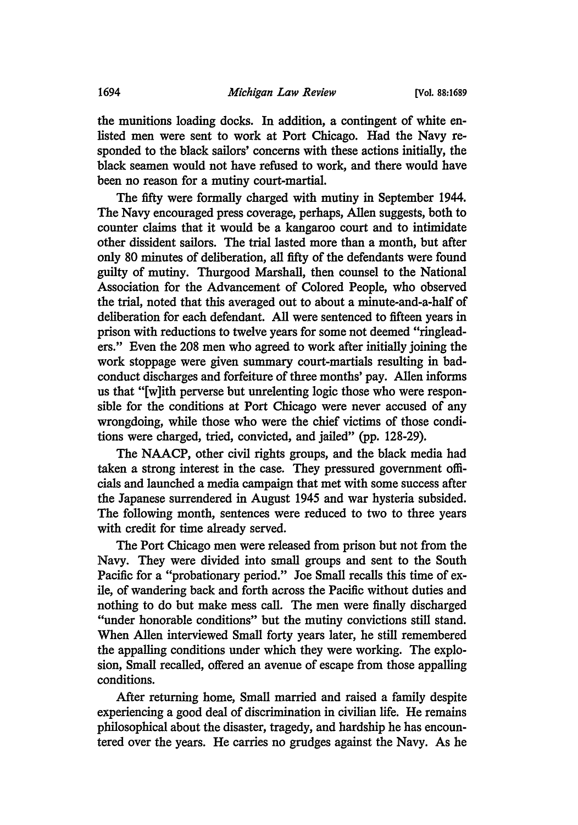the munitions loading docks. In addition, a contingent of white enlisted men were sent to work at Port Chicago. Had the Navy responded to the black sailors' concerns with these actions initially, the black seamen would not have refused to work, and there would have been no reason for a mutiny court-martial.

The fifty were formally charged with mutiny in September 1944. The Navy encouraged press coverage, perhaps, Allen suggests, both to counter claims that it would be a kangaroo court and to intimidate other dissident sailors. The trial lasted more than a month, but after only 80 minutes of deliberation, all fifty of the defendants were found guilty of mutiny. Thurgood Marshall, then counsel to the National Association for the Advancement of Colored People, who observed the trial, noted that this averaged out to about a minute-and-a-half of deliberation for each defendant. All were sentenced to fifteen years in prison with reductions to twelve years for some not deemed "ringleaders." Even the 208 men who agreed to work after initially joining the work stoppage were given summary court-martials resulting in badconduct discharges and forfeiture of three months' pay. Allen informs us that "[w]ith perverse but unrelenting logic those who were responsible for the conditions at Port Chicago were never accused of any wrongdoing, while those who were the chief victims of those conditions were charged, tried, convicted, and jailed" (pp. 128-29).

The NAACP, other civil rights groups, and the black media had taken a strong interest in the case. They pressured government officials and launched a media campaign that met with some success after the Japanese surrendered in August 1945 and war hysteria subsided. The following month, sentences were reduced to two to three years with credit for time already served.

The Port Chicago men were released from prison but not from the Navy. They were divided into small groups and sent to the South Pacific for a "probationary period." Joe Small recalls this time of exile, of wandering back and forth across the Pacific without duties and nothing to do but make mess call. The men were finally discharged "under honorable conditions" but the mutiny convictions still stand. When Allen interviewed Small forty years later, he still remembered the appalling conditions under which they were working. The explosion, Small recalled, offered an avenue of escape from those appalling conditions.

After returning home, Small married and raised a family despite experiencing a good deal of discrimination in civilian life. He remains philosophical about the disaster, tragedy, and hardship he has encountered over the years. He carries no grudges against the Navy. As he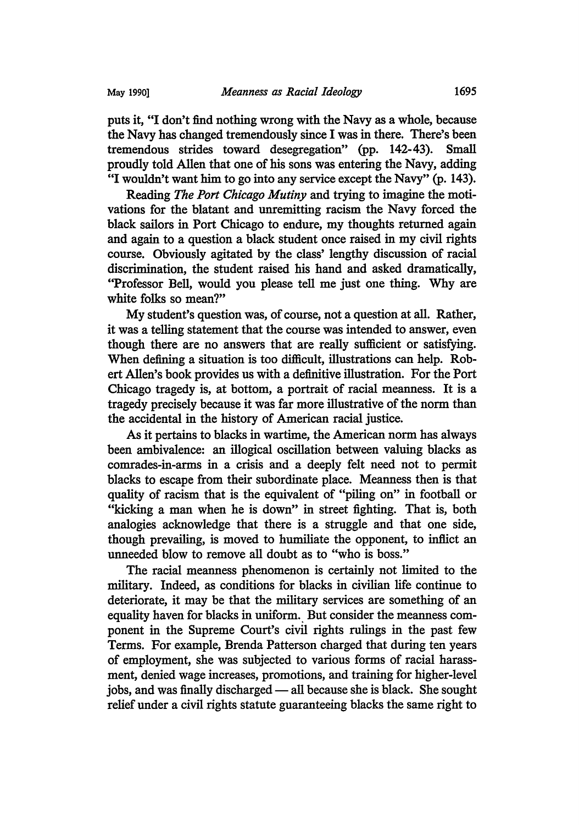puts it, "I don't find nothing wrong with the Navy as a whole, because the Navy has changed tremendously since I was in there. There's been tremendous strides toward desegregation" (pp. 142-43). Small proudly told Allen that one of his sons was entering the Navy, adding "I wouldn't want him to go into any service except the Navy" (p. 143).

Reading *The Port Chicago Mutiny* and trying to imagine the motivations for the blatant and unremitting racism the Navy forced the black sailors in Port Chicago to endure, my thoughts returned again and again to a question a black student once raised in my civil rights course. Obviously agitated by the class' lengthy discussion of racial discrimination, the student raised his hand and asked dramatically, ''Professor Bell, would you please tell me just one thing. Why are white folks so mean?"

My student's question was, of course, not a question at all. Rather, it was a telling statement that the course was intended to answer, even though there are no answers that are really sufficient or satisfying. When defining a situation is too difficult, illustrations can help. Robert Allen's book provides us with a definitive illustration. For the Port Chicago tragedy is, at bottom, a portrait of racial meanness. It is a tragedy precisely because it was far more illustrative of the norm than the accidental in the history of American racial justice.

As it pertains to blacks in wartime, the American norm has always been ambivalence: an illogical oscillation between valuing blacks as comrades-in-arms in a crisis and a deeply felt need not to permit blacks to escape from their subordinate place. Meanness then is that quality of racism that is the equivalent of "piling on" in football or "kicking a man when he is down" in street fighting. That is, both analogies acknowledge that there is a struggle and that one side, though prevailing, is moved to humiliate the opponent, to inflict an unneeded blow to remove all doubt as to "who is boss."

The racial meanness phenomenon is certainly not limited to the military. Indeed, as conditions for blacks in civilian life continue to deteriorate, it may be that the military services are something of an equality haven for blacks in uniform. But consider the meanness component in the Supreme Court's civil rights rulings in the past few Terms. For example, Brenda Patterson charged that during ten years of employment, she was subjected to various forms of racial harassment, denied wage increases, promotions, and training for higher-level jobs, and was finally discharged — all because she is black. She sought relief under a civil rights statute guaranteeing blacks the same right to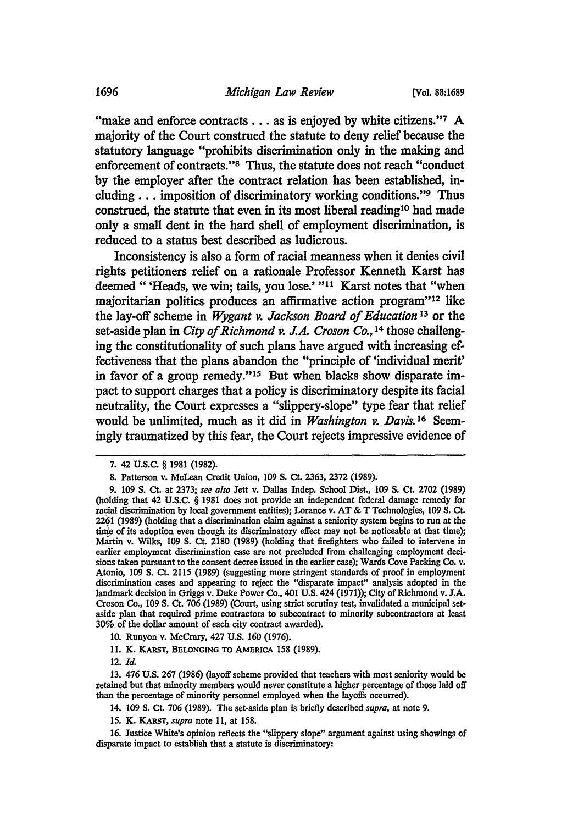"make and enforce contracts  $\dots$  as is enjoyed by white citizens."<sup>7</sup> A majority of the Court construed the statute to deny relief because the statutory language "prohibits discrimination only in the making and enforcement of contracts."8 Thus, the statute does not reach "conduct by the employer after the contract relation has been established, including ... imposition of discriminatory working conditions."9 Thus construed, the statute that even in its most liberal reading10 had made only a small dent in the hard shell of employment discrimination, is reduced to a status best described as ludicrous.

Inconsistency is also a form of racial meanness when it denies civil rights petitioners relief on a rationale Professor Kenneth Karst has deemed " 'Heads, we win; tails, you lose.' "<sup>11</sup> Karst notes that "when majoritarian politics produces an affirmative action program"12 like the lay-off scheme in *Wygant v. Jackson Board of Education* 13 or the set-aside plan in *City of Richmond v. J.A. Croson Co.,* 14 those challenging the constitutionality of such plans have argued with increasing effectiveness that the plans abandon the "principle of 'individual merit' in favor of a group remedy."<sup>15</sup> But when blacks show disparate impact to support charges that a policy is discriminatory despite its facial neutrality, the Court expresses a "slippery-slope" type fear that relief would be unlimited, much as it did in *Washington v. Davis.* 16 Seemingly traumatized by this fear, the Court rejects impressive evidence of

11. K. KARsr, BELONGING TO AMERICA 158 (1989).

<sup>7. 42</sup> u.s.c. § 1981 (1982).

<sup>8.</sup> Patterson v. McLean Credit Union, 109 S. Ct. 2363, 2372 (1989).

<sup>9. 109</sup> S. Ct. at 2373; *see also* Jett v. Dallas Indep. School Dist., 109 S. Ct. 2702 (1989) (holding that 42 U.S.C. § 1981 does not provide an independent federal damage remedy for racial discrimination by local government entities); Lorance v. AT & T Technologies, 109 S. Ct. 2261 (1989) (holding that a discrimination claim against a seniority system begins to run at the time of its adoption even though its discriminatory effect may not be noticeable at that time); Martin v. Wilks, 109 S. Ct. 2180 (1989) (holding that firefighters who failed to intervene in earlier employment discrimination case are not precluded from challenging employment deci· sions taken pursuant to the consent decree issued in the earlier case); Wards Cove Packing Co. v. Atonio, 109 S. Ct. 2115 (1989) (suggesting more stringent standards of proof in employment discrimination cases and appearing to reject the "disparate impact" analysis adopted in the landmark decision in Griggs v. Duke Power Co., 401 U.S. 424 (1971)); City of Richmond v. J.A. Croson Co., 109 S. Ct. 706 (1989) (Court, using strict scrutiny test, invalidated a municipal set· aside plan that required prime contractors to subcontract to minority subcontractors at least 30% of the dollar amount of each city contract awarded).

<sup>10.</sup> Runyon v. McCrary, 427 U.S. 160 (1976).

<sup>12.</sup> *Id.* 

<sup>13. 476</sup> U.S. 267 (1986) (layoff scheme provided that teachers with most seniority would be retained but that minority members would never constitute a higher percentage of those laid off than the percentage of minority personnel employed when the layoffs occurred).

<sup>14. 109</sup> S. Ct. 706 (1989). The set-aside plan is briefly described *supra,* at note 9.

<sup>15.</sup> K. KARsr, *supra* note 11, at 158.

<sup>16.</sup> Justice White's opinion reflects the "slippery slope" argument against using showings of disparate impact to establish that a statute is discriminatory: